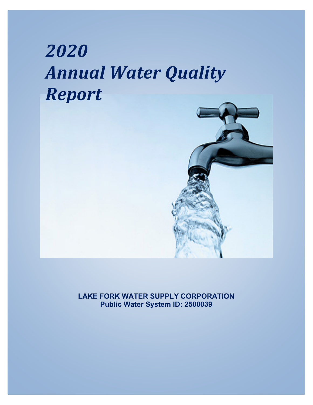# *2020 Annual Water Quality Report*



**LAKE FORK WATER SUPPLY CORPORATION Public Water System ID: 2500039**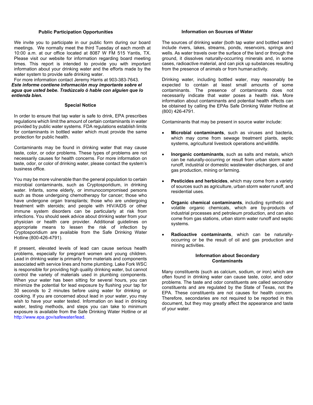### **Public Participation Opportunities**

We invite you to participate in our public form during our board meetings. We normally meet the third Tuesday of each month at 10:00 a.m. at our office located at 8087 W FM 515 Yantis, TX. Please visit our website for information regarding board meeting times. This report is intended to provide you with important information about your drinking water and the efforts made by the water system to provide safe drinking water.

For more information contact Jeremy Harris at 903-383-7643. *Este informe contiene información muy importante sobre el agua que usted bebe. Tradúzcalo ó hable con alguien que lo entienda bien.*

#### **Special Notice**

In order to ensure that tap water is safe to drink, EPA prescribes regulations which limit the amount of certain contaminants in water provided by public water systems. FDA regulations establish limits for contaminants in bottled water which must provide the same protection for public health.

Contaminants may be found in drinking water that may cause taste, color, or odor problems. These types of problems are not necessarily causes for health concerns. For more information on taste, odor, or color of drinking water, please contact the system's business office.

You may be more vulnerable than the general population to certain microbial contaminants, such as Cryptosporidium, in drinking water. Infants, some elderly, or immunocompromised persons such as those undergoing chemotherapy for cancer; those who have undergone organ transplants; those who are undergoing treatment with steroids; and people with HIV/AIDS or other immune system disorders can be particularly at risk from infections. You should seek advice about drinking water from your physician or health care provider. Additional guidelines on appropriate means to lessen the risk of infection by Cryptosporidium are available from the Safe Drinking Water Hotline (800-426-4791).

If present, elevated levels of lead can cause serious health problems, especially for pregnant women and young children. Lead in drinking water is primarily from materials and components associated with service lines and home plumbing. Lake Fork WSC is responsible for providing high quality drinking water, but cannot control the variety of materials used in plumbing components. When your water has been sitting for several hours, you can minimize the potential for lead exposure by flushing your tap for 30 seconds to 2 minutes before using water for drinking or cooking. If you are concerned about lead in your water, you may wish to have your water tested. Information on lead in drinking water, testing methods, and steps you can take to minimum exposure is available from the Safe Drinking Water Hotline or at [http://www.epa.gov/safewater/lead.](http://www.epa.gov/safewater/lead)

## **Information on Sources of Water**

The sources of drinking water (both tap water and bottled water) include rivers, lakes, streams, ponds, reservoirs, springs and wells. As water travels over the surface of the land or through the ground, it dissolves naturally-occurring minerals and, in some cases, radioactive material, and can pick up substances resulting from the presence of animals or from human activity.

Drinking water, including bottled water, may reasonably be expected to contain at least small amounts of some contaminants. The presence of contaminants does not necessarily indicate that water poses a health risk. More information about contaminants and potential health effects can be obtained by calling the EPAs Safe Drinking Water Hotline at (800) 426-4791.

Contaminants that may be present in source water include:

- **Microbial contaminants**, such as viruses and bacteria, which may come from sewage treatment plants, septic systems, agricultural livestock operations and wildlife.
- **Inorganic contaminants**, such as salts and metals, which can be naturally-occurring or result from urban storm water runoff, industrial or domestic wastewater discharges, oil and gas production, mining or farming.
- **Pesticides and herbicides**, which may come from a variety of sources such as agriculture, urban storm water runoff, and residential uses.
- **Organic chemical contaminants**, including synthetic and volatile organic chemicals, which are by-products of industrial processes and petroleum production, and can also come from gas stations, urban storm water runoff and septic systems.
- **Radioactive contaminants**, which can be naturallyoccurring or be the result of oil and gas production and mining activities.

## **Information about Secondary Contaminants**

Many constituents (such as calcium, sodium, or iron) which are often found in drinking water can cause taste, color, and odor problems. The taste and odor constituents are called secondary constituents and are regulated by the State of Texas, not the EPA. These constituents are not causes for health concern. Therefore, secondaries are not required to be reported in this document, but they may greatly affect the appearance and taste of your water.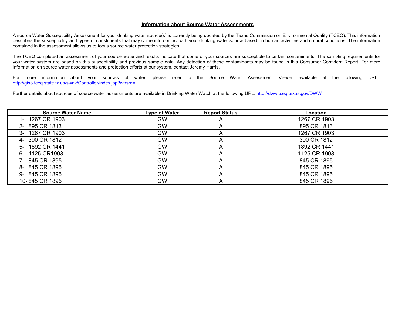## **Information about Source Water Assessments**

A source Water Susceptibility Assessment for your drinking water source(s) is currently being updated by the Texas Commission on Environmental Quality (TCEQ). This information describes the susceptibility and types of constituents that may come into contact with your drinking water source based on human activities and natural conditions. The information contained in the assessment allows us to focus source water protection strategies.

The TCEQ completed an assessment of your source water and results indicate that some of your sources are susceptible to certain contaminants. The sampling requirements for your water system are based on this susceptibility and previous sample data. Any detection of these contaminants may be found in this Consumer Confident Report. For more information on source water assessments and protection efforts at our system, contact Jeremy Harris.

For more information about your sources of water, please refer to the Source Water Assessment Viewer available at the following URL: [http://gis3.tceq.state.tx.us/swav/Controller/index.jsp?wtrsrc=](http://gis3.tceq.state.tx.us/swav/Controller/index.jsp?wtrsrc)

Further details about sources of source water assessments are available in Drinking Water Watch at the following URL[: http://dww.tceq.texas.gov/DWW](http://dww.tceq.texas.gov/DWW/)

| <b>Source Water Name</b> | Type of Water | <b>Report Status</b> | Location     |
|--------------------------|---------------|----------------------|--------------|
| 1- 1267 CR 1903          | GW            | A                    | 1267 CR 1903 |
| 2-895 CR 1813            | <b>GW</b>     | A                    | 895 CR 1813  |
| 3- 1267 CR 1903          | <b>GW</b>     | A                    | 1267 CR 1903 |
| 4- 390 CR 1812           | GW            | A                    | 390 CR 1812  |
| 5- 1892 CR 1441          | <b>GW</b>     | A                    | 1892 CR 1441 |
| 6- 1125 CR1903           | <b>GW</b>     | A                    | 1125 CR 1903 |
| 7- 845 CR 1895           | <b>GW</b>     | A                    | 845 CR 1895  |
| 8-845 CR 1895            | <b>GW</b>     | A                    | 845 CR 1895  |
| 9-845 CR 1895            | <b>GW</b>     | A                    | 845 CR 1895  |
| 10-845 CR 1895           | <b>GW</b>     | A                    | 845 CR 1895  |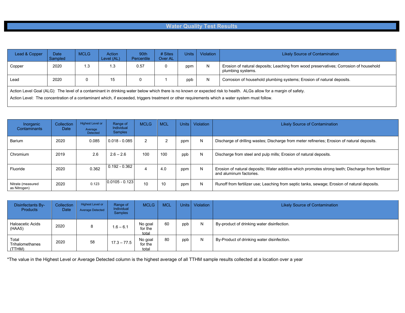# **Water Quality Test Results**

| Lead & Copper                                                                                                                                                                                                                                                                                                         | <b>Date</b><br>Sampled | <b>MCLG</b> | Action<br>Level (AL) | 90th<br>Percentile | $#$ Sites<br>Over AL | <b>Units</b> | Violation | <b>Likely Source of Contamination</b>                                                                      |
|-----------------------------------------------------------------------------------------------------------------------------------------------------------------------------------------------------------------------------------------------------------------------------------------------------------------------|------------------------|-------------|----------------------|--------------------|----------------------|--------------|-----------|------------------------------------------------------------------------------------------------------------|
| Copper                                                                                                                                                                                                                                                                                                                | 2020                   | 1.3         | 1.3                  | 0.57               |                      | ppm          | N         | Erosion of natural deposits; Leaching from wood preservatives; Corrosion of household<br>plumbing systems. |
| Lead                                                                                                                                                                                                                                                                                                                  | 2020                   |             | 15                   | 0                  |                      | ppb          | N         | Corrosion of household plumbing systems; Erosion of natural deposits.                                      |
| Action Level Goal (ALG): The level of a contaminant in drinking water below which there is no known or expected risk to health. ALGs allow for a margin of safety.<br>Action Level: The concentration of a contaminant which, if exceeded, triggers treatment or other requirements which a water system must follow. |                        |             |                      |                    |                      |              |           |                                                                                                            |

| Inorganic<br>Contaminants         | Collection<br>Date | <b>Highest Level or</b><br>Average<br>Detected | Range of<br>Individual<br><b>Samples</b> | <b>MCLG</b> | <b>MCL</b> | Units | Violation | <b>Likely Source of Contamination</b>                                                                                         |
|-----------------------------------|--------------------|------------------------------------------------|------------------------------------------|-------------|------------|-------|-----------|-------------------------------------------------------------------------------------------------------------------------------|
| Barium                            | 2020               | 0.085                                          | $0.018 - 0.085$                          | 2           |            | ppm   | N         | Discharge of drilling wastes; Discharge from meter refineries; Erosion of natural deposits.                                   |
| Chromium                          | 2019               | 2.6                                            | $2.6 - 2.6$                              | 100         | 100        | ppb   | N         | Discharge from steel and pulp mills; Erosion of natural deposits.                                                             |
| Fluoride                          | 2020               | 0.362                                          | $0.192 - 0.362$                          |             | 4.0        | ppm   | N         | Erosion of natural deposits; Water additive which promotes strong teeth; Discharge from fertilizer<br>and aluminum factories. |
| Nitrate (measured<br>as Nitrogen) | 2020               | 0.123                                          | $0.0105 - 0.123$                         | 10          | 10         | ppm   | N         | Runoff from fertilizer use; Leaching from septic tanks, sewage; Erosion of natural deposits.                                  |

| <b>Disinfectants By-</b><br><b>Products</b> | Collection<br>Date | Highest Level or<br><b>Average Detected</b> | Range of<br><b>Individual</b><br><b>Samples</b> | <b>MCLG</b>                 | <b>MCL</b> |     | Units   Violation | <b>Likely Source of Contamination</b>      |
|---------------------------------------------|--------------------|---------------------------------------------|-------------------------------------------------|-----------------------------|------------|-----|-------------------|--------------------------------------------|
| Haloacetic Acids<br>(HAA5)                  | 2020               | 8                                           | $1.6 - 6.1$                                     | No goal<br>for the<br>total | 60         | ppb | N                 | By-product of drinking water disinfection. |
| Total<br>Trihalomethanes<br>(TTHM)          | 2020               | 58                                          | $17.3 - 77.5$                                   | No goal<br>for the<br>total | 80         | ppb | N                 | By-Product of drinking water disinfection. |

\*The value in the Highest Level or Average Detected column is the highest average of all TTHM sample results collected at a location over a year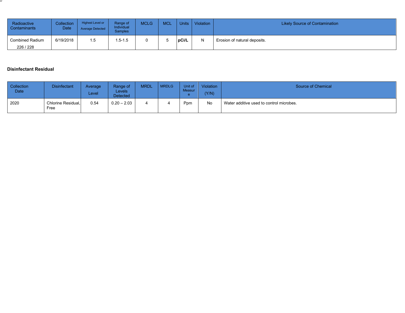| Radioactive<br>Contaminants | Collection<br>Date | Highest Level or<br><b>Average Detected</b> | Range of<br>Individual<br><b>Samples</b> | <b>MCLG</b> | <b>MCL</b> | Units | <b>Violation</b> | <b>Likely Source of Contamination</b> |
|-----------------------------|--------------------|---------------------------------------------|------------------------------------------|-------------|------------|-------|------------------|---------------------------------------|
| <b>Combined Radium</b>      | 6/19/2018          | 1.5                                         | $.5 - 1.5$                               |             |            | pCi/L |                  | Erosion of natural deposits.          |
| 226 / 228                   |                    |                                             |                                          |             |            |       |                  |                                       |

# **Disinfectant Residual**

ш

| <b>Collection</b><br><b>Date</b> | <b>Disinfectant</b>        | Average<br>Level | Range of<br>Levels<br><b>Detected</b> | <b>MRDL</b> | <b>MRDLG</b> | Unit of<br>Measur | Violation<br>(Y/N) | Source of Chemical                       |
|----------------------------------|----------------------------|------------------|---------------------------------------|-------------|--------------|-------------------|--------------------|------------------------------------------|
| 2020                             | Chlorine Residual.<br>Free | 0.54             | $0.20 - 2.03$                         |             |              | Ppm               | No                 | Water additive used to control microbes. |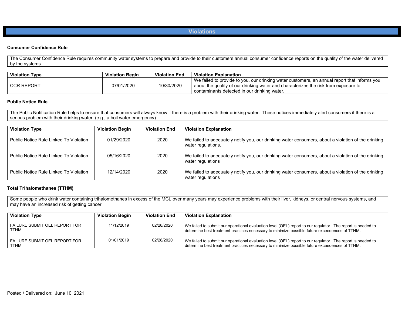**Violations** 

## **Consumer Confidence Rule**

The Consumer Confidence Rule requires community water systems to prepare and provide to their customers annual consumer confidence reports on the quality of the water delivered by the systems.

| <b>Violation Type</b> | <b>Violation Begin</b> | <b>Violation End</b> | <b>Violation Explanation</b>                                                                                                                                                                                                        |
|-----------------------|------------------------|----------------------|-------------------------------------------------------------------------------------------------------------------------------------------------------------------------------------------------------------------------------------|
| l CCR REPORT          | 07/01/2020             | 10/30/2020           | We failed to provide to you, our drinking water customers, an annual report that informs you<br>about the quality of our drinking water and characterizes the risk from exposure to<br>contaminants detected in our drinking water. |

## **Public Notice Rule**

The Public Notification Rule helps to ensure that consumers will always know if there is a problem with their drinking water. These notices immediately alert consumers if there is a serious problem with their drinking water. (e.g., a boil water emergency).

| <b>Violation Type</b>                  | <b>Violation Begin</b> | <b>Violation End</b> | <b>Violation Explanation</b>                                                                                              |
|----------------------------------------|------------------------|----------------------|---------------------------------------------------------------------------------------------------------------------------|
| Public Notice Rule Linked To Violation | 01/29/2020             | 2020                 | We failed to adequately notify you, our drinking water consumers, about a violation of the drinking<br>water regulations. |
| Public Notice Rule Linked To Violation | 05/16/2020             | 2020                 | We failed to adequately notify you, our drinking water consumers, about a violation of the drinking<br>water regulations  |
| Public Notice Rule Linked To Violation | 12/14/2020             | 2020                 | We failed to adequately notify you, our drinking water consumers, about a violation of the drinking<br>water regulations  |

## **Total Trihalomethanes (TTHM)**

Some people who drink water containing trihalomethanes in excess of the MCL over many years may experience problems with their liver, kidneys, or central nervous systems, and may have an increased risk of getting cancer.

| <b>Violation Type</b>                        | <b>Violation Begin</b> | <b>Violation End</b> | <b>Violation Explanation</b>                                                                                                                                                                                 |
|----------------------------------------------|------------------------|----------------------|--------------------------------------------------------------------------------------------------------------------------------------------------------------------------------------------------------------|
| FAILURE SUBMIT OEL REPORT FOR<br>TTHM        | 11/12/2019             | 02/28/2020           | We failed to submit our operational evaluation level (OEL) report to our regulator. The report is needed to<br>determine best treatment practices necessary to minimize possible future exceedences of TTHM. |
| FAILURE SUBMIT OEL REPORT FOR<br><b>TTHM</b> | 01/01/2019             | 02/28/2020           | We failed to submit our operational evaluation level (OEL) report to our regulator. The report is needed to<br>determine best treatment practices necessary to minimize possible future exceedences of TTHM. |